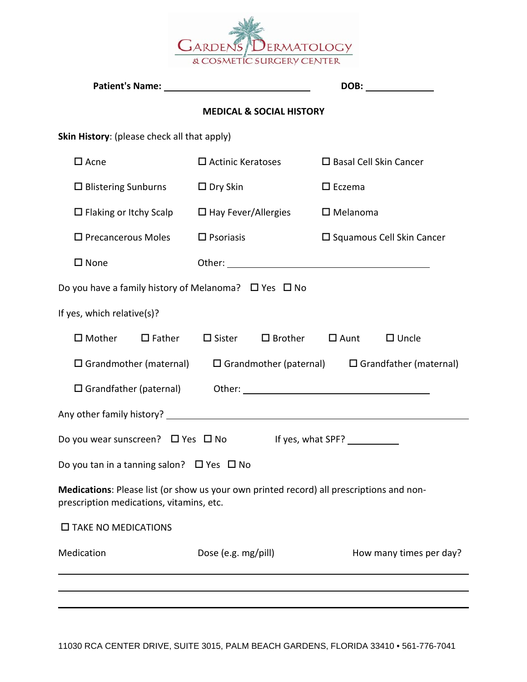

|                                                                                                                                      |                                          | DOB: ______________                                         |
|--------------------------------------------------------------------------------------------------------------------------------------|------------------------------------------|-------------------------------------------------------------|
|                                                                                                                                      | <b>MEDICAL &amp; SOCIAL HISTORY</b>      |                                                             |
| Skin History: (please check all that apply)                                                                                          |                                          |                                                             |
| $\square$ Acne                                                                                                                       | $\Box$ Actinic Keratoses                 | $\square$ Basal Cell Skin Cancer                            |
| $\Box$ Blistering Sunburns                                                                                                           | $\square$ Dry Skin                       | $\square$ Eczema                                            |
| $\Box$ Flaking or Itchy Scalp $\Box$ Hay Fever/Allergies                                                                             |                                          | $\square$ Melanoma                                          |
| $\Box$ Precancerous Moles                                                                                                            | $\square$ Psoriasis                      | $\square$ Squamous Cell Skin Cancer                         |
| $\square$ None                                                                                                                       |                                          |                                                             |
| Do you have a family history of Melanoma? $\Box$ Yes $\Box$ No                                                                       |                                          |                                                             |
| If yes, which relative(s)?                                                                                                           |                                          |                                                             |
| $\square$ Mother<br>$\square$ Father                                                                                                 | $\Box$ Sister $\Box$ Brother $\Box$ Aunt | $\Box$ Uncle                                                |
| $\square$ Grandmother (maternal)                                                                                                     |                                          | $\Box$ Grandmother (paternal) $\Box$ Grandfather (maternal) |
|                                                                                                                                      |                                          |                                                             |
|                                                                                                                                      |                                          |                                                             |
| Do you wear sunscreen? $\Box$ Yes $\Box$ No                                                                                          |                                          | If yes, what SPF? <u>The Constant</u>                       |
| Do you tan in a tanning salon? $\Box$ Yes $\Box$ No                                                                                  |                                          |                                                             |
| Medications: Please list (or show us your own printed record) all prescriptions and non-<br>prescription medications, vitamins, etc. |                                          |                                                             |
| $\square$ TAKE NO MEDICATIONS                                                                                                        |                                          |                                                             |
| Medication                                                                                                                           | Dose (e.g. mg/pill)                      | How many times per day?                                     |
|                                                                                                                                      |                                          |                                                             |